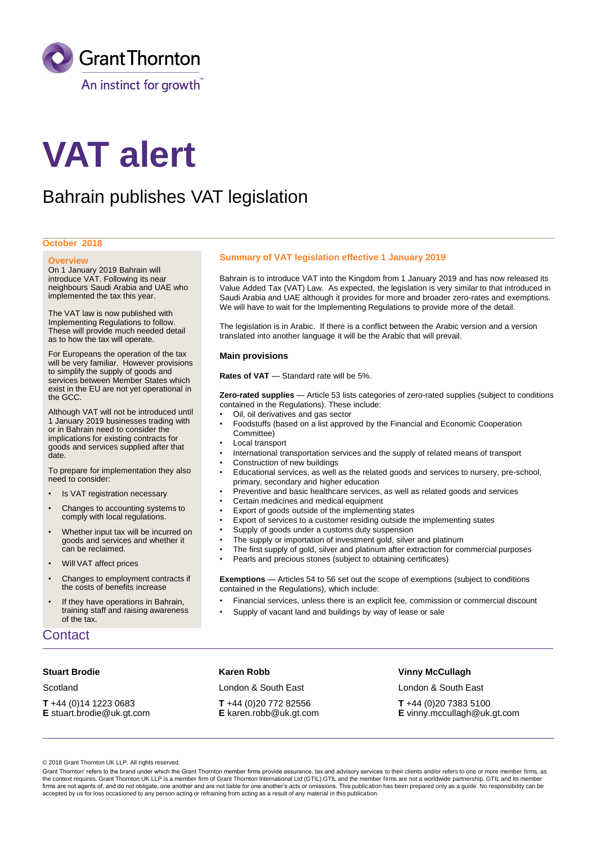

# **VAT alert**

# Bahrain publishes VAT legislation

#### **October 2018**

#### **Overview**

On 1 January 2019 Bahrain will introduce VAT. Following its near neighbours Saudi Arabia and UAE who implemented the tax this year.

The VAT law is now published with Implementing Regulations to follow. These will provide much needed detail as to how the tax will operate.

For Europeans the operation of the tax will be very familiar. However provisions to simplify the supply of goods and services between Member States which exist in the EU are not yet operational in the GCC.

Although VAT will not be introduced until 1 January 2019 businesses trading with or in Bahrain need to consider the implications for existing contracts for goods and services supplied after that date.

To prepare for implementation they also need to consider:

- Is VAT registration necessary
- Changes to accounting systems to comply with local regulations.
- Whether input tax will be incurred on goods and services and whether it can be reclaimed.
- Will VAT affect prices
- Changes to employment contracts if the costs of benefits increase
- If they have operations in Bahrain, training staff and raising awareness of the tax.

# **Contact**

#### **Stuart Brodie**

**Scotland** 

**T** +44 (0)14 1223 0683 **E** stuart.brodie@uk.gt.com

## **Summary of VAT legislation effective 1 January 2019**

Bahrain is to introduce VAT into the Kingdom from 1 January 2019 and has now released its Value Added Tax (VAT) Law. As expected, the legislation is very similar to that introduced in Saudi Arabia and UAE although it provides for more and broader zero-rates and exemptions. We will have to wait for the Implementing Regulations to provide more of the detail.

The legislation is in Arabic. If there is a conflict between the Arabic version and a version translated into another language it will be the Arabic that will prevail.

#### **Main provisions**

Rates of VAT - Standard rate will be 5%.

**Zero-rated supplies** — Article 53 lists categories of zero-rated supplies (subject to conditions contained in the Regulations). These include:

- Oil, oil derivatives and gas sector
- Foodstuffs (based on a list approved by the Financial and Economic Cooperation Committee)
- Local transport
- International transportation services and the supply of related means of transport
- Construction of new buildings
- Educational services, as well as the related goods and services to nursery, pre-school, primary, secondary and higher education
- Preventive and basic healthcare services, as well as related goods and services
- Certain medicines and medical equipment
- Export of goods outside of the implementing states
- Export of services to a customer residing outside the implementing states
- Supply of goods under a customs duty suspension
- The supply or importation of investment gold, silver and platinum
- The first supply of gold, silver and platinum after extraction for commercial purposes
- Pearls and precious stones (subject to obtaining certificates)

**Exemptions** — Articles 54 to 56 set out the scope of exemptions (subject to conditions contained in the Regulations), which include:

- Financial services, unless there is an explicit fee, commission or commercial discount
- Supply of vacant land and buildings by way of lease or sale

# **Karen Robb**

London & South East

**T** +44 (0)20 772 82556 **E** karen.robb@uk.gt.com

#### **Vinny McCullagh**

London & South East **T** +44 (0)20 7383 5100 **E** vinny.mccullagh@uk.gt.com

© 2018 Grant Thornton UK LLP. All rights reserved.

Grant Thornton' refers to the brand under which the Grant Thornton member firms provide assurance, tax and advisory services to their clients and/or refers to one or more member firms, as the context requires. Grant Thornton UK LLP is a member firm of Grant Thornton International Ltd (GTIL).GTIL and the member firms are not a worldwide partnership. GTIL and its member firms are not agents of, and do not obligate, one another and are not liable for one another's acts or omissions. This publication has been prepared only as a guide. No responsibility can be accepted by us for loss occasioned to any person acting or refraining from acting as a result of any material in this publication.